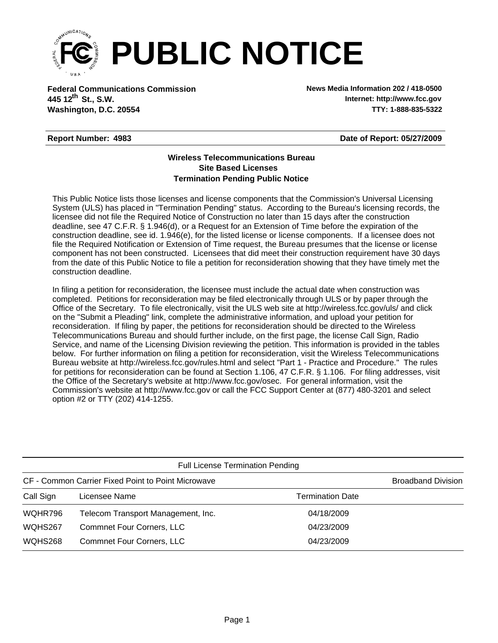

**Federal Communications Commission News Media Information 202 / 418-0500 Washington, D.C. 20554 TTY: 1-888-835-5322 445 12<sup>th</sup> St., S.W.** 

**Internet: http://www.fcc.gov**

## **Report Number: 4983**

**Date of Report: 05/27/2009**

## **Wireless Telecommunications Bureau Site Based Licenses Termination Pending Public Notice**

This Public Notice lists those licenses and license components that the Commission's Universal Licensing System (ULS) has placed in "Termination Pending" status. According to the Bureau's licensing records, the licensee did not file the Required Notice of Construction no later than 15 days after the construction deadline, see 47 C.F.R. § 1.946(d), or a Request for an Extension of Time before the expiration of the construction deadline, see id. 1.946(e), for the listed license or license components. If a licensee does not file the Required Notification or Extension of Time request, the Bureau presumes that the license or license component has not been constructed. Licensees that did meet their construction requirement have 30 days from the date of this Public Notice to file a petition for reconsideration showing that they have timely met the construction deadline.

In filing a petition for reconsideration, the licensee must include the actual date when construction was completed. Petitions for reconsideration may be filed electronically through ULS or by paper through the Office of the Secretary. To file electronically, visit the ULS web site at http://wireless.fcc.gov/uls/ and click on the "Submit a Pleading" link, complete the administrative information, and upload your petition for reconsideration. If filing by paper, the petitions for reconsideration should be directed to the Wireless Telecommunications Bureau and should further include, on the first page, the license Call Sign, Radio Service, and name of the Licensing Division reviewing the petition. This information is provided in the tables below. For further information on filing a petition for reconsideration, visit the Wireless Telecommunications Bureau website at http://wireless.fcc.gov/rules.html and select "Part 1 - Practice and Procedure." The rules for petitions for reconsideration can be found at Section 1.106, 47 C.F.R. § 1.106. For filing addresses, visit the Office of the Secretary's website at http://www.fcc.gov/osec. For general information, visit the Commission's website at http://www.fcc.gov or call the FCC Support Center at (877) 480-3201 and select option #2 or TTY (202) 414-1255.

| <b>Full License Termination Pending</b>            |                                    |                         |  |  |  |
|----------------------------------------------------|------------------------------------|-------------------------|--|--|--|
| CF - Common Carrier Fixed Point to Point Microwave | <b>Broadband Division</b>          |                         |  |  |  |
| Call Sign                                          | Licensee Name                      | <b>Termination Date</b> |  |  |  |
| WQHR796                                            | Telecom Transport Management, Inc. | 04/18/2009              |  |  |  |
| WQHS267                                            | <b>Commnet Four Corners, LLC</b>   | 04/23/2009              |  |  |  |
| WQHS268                                            | <b>Commnet Four Corners, LLC</b>   | 04/23/2009              |  |  |  |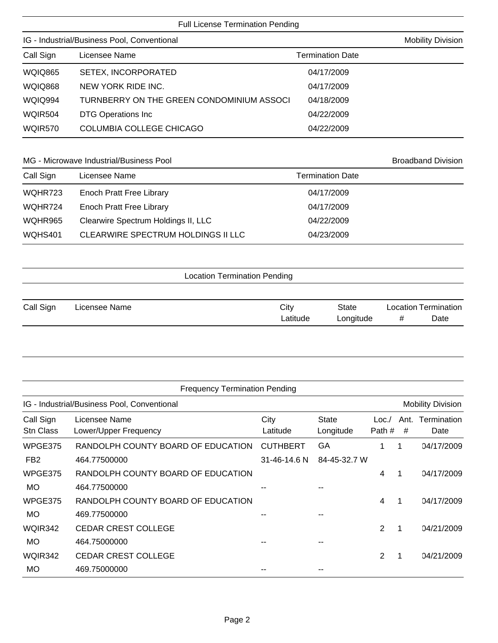Full License Termination Pending

| IG - Industrial/Business Pool, Conventional |                                           |            | <b>Mobility Division</b> |  |
|---------------------------------------------|-------------------------------------------|------------|--------------------------|--|
| Call Sign                                   | Licensee Name<br><b>Termination Date</b>  |            |                          |  |
| <b>WQIQ865</b>                              | SETEX, INCORPORATED                       | 04/17/2009 |                          |  |
| <b>WQIQ868</b>                              | NEW YORK RIDE INC.                        | 04/17/2009 |                          |  |
| <b>WQIQ994</b>                              | TURNBERRY ON THE GREEN CONDOMINIUM ASSOCI | 04/18/2009 |                          |  |
| WQIR504                                     | <b>DTG Operations Inc</b>                 | 04/22/2009 |                          |  |
| WQIR570                                     | COLUMBIA COLLEGE CHICAGO                  | 04/22/2009 |                          |  |
|                                             |                                           |            |                          |  |

## MG - Microwave Industrial/Business Pool and Broadband Division Broadband Division

| Call Sign | Licensee Name                       | <b>Termination Date</b> |
|-----------|-------------------------------------|-------------------------|
| WQHR723   | Enoch Pratt Free Library            | 04/17/2009              |
| WQHR724   | Enoch Pratt Free Library            | 04/17/2009              |
| WQHR965   | Clearwire Spectrum Holdings II, LLC | 04/22/2009              |
| WQHS401   | CLEARWIRE SPECTRUM HOLDINGS II LLC  | 04/23/2009              |

|  | <b>Location Termination Pending</b> |  |
|--|-------------------------------------|--|
|--|-------------------------------------|--|

| Call Sign | Licensee Name | City     | State     | Location Termination |      |
|-----------|---------------|----------|-----------|----------------------|------|
|           |               | _atitude | Longitude |                      | Date |

|                               | <b>Frequency Termination Pending</b>        |                  |                           |                |           |                          |
|-------------------------------|---------------------------------------------|------------------|---------------------------|----------------|-----------|--------------------------|
|                               | IG - Industrial/Business Pool, Conventional |                  |                           |                |           | <b>Mobility Division</b> |
| Call Sign<br><b>Stn Class</b> | Licensee Name<br>Lower/Upper Frequency      | City<br>Latitude | <b>State</b><br>Longitude | Loc.<br>Path # | Ant.<br># | Termination<br>Date      |
| WPGE375                       | RANDOLPH COUNTY BOARD OF EDUCATION          | <b>CUTHBERT</b>  | GA                        |                |           | 04/17/2009               |
| FB <sub>2</sub>               | 464.77500000                                | 31-46-14.6 N     | 84-45-32.7 W              |                |           |                          |
| WPGE375                       | RANDOLPH COUNTY BOARD OF EDUCATION          |                  |                           | 4              | 1         | 04/17/2009               |
| <b>MO</b>                     | 464.77500000                                |                  |                           |                |           |                          |
| WPGE375                       | RANDOLPH COUNTY BOARD OF EDUCATION          |                  |                           | 4              | 1         | 04/17/2009               |
| <b>MO</b>                     | 469.77500000                                |                  |                           |                |           |                          |
| WQIR342                       | <b>CEDAR CREST COLLEGE</b>                  |                  |                           | $\overline{2}$ |           | 04/21/2009               |
| <b>MO</b>                     | 464.75000000                                |                  |                           |                |           |                          |
| WQIR342                       | <b>CEDAR CREST COLLEGE</b>                  |                  |                           | 2              |           | 04/21/2009               |
| <b>MO</b>                     | 469.75000000                                |                  |                           |                |           |                          |